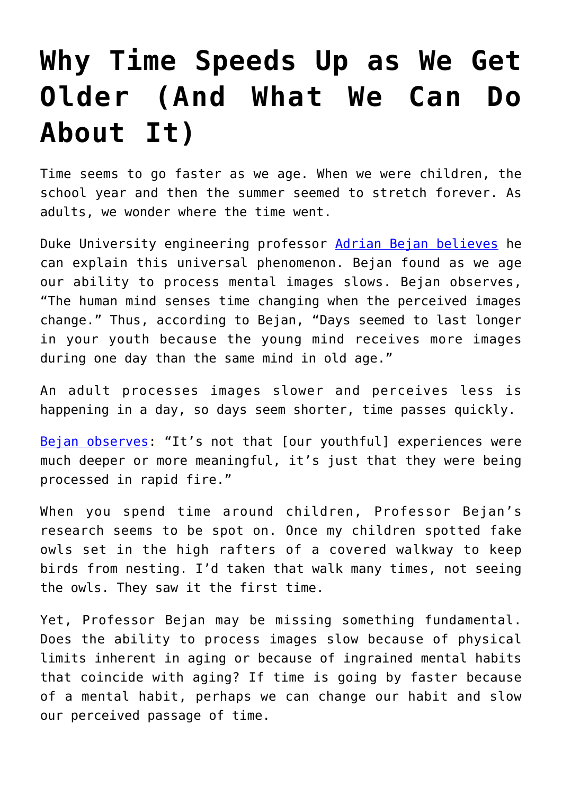## **[Why Time Speeds Up as We Get](https://intellectualtakeout.org/2019/04/why-time-speeds-up-as-we-get-older-and-what-we-can-do-about-it/) [Older \(And What We Can Do](https://intellectualtakeout.org/2019/04/why-time-speeds-up-as-we-get-older-and-what-we-can-do-about-it/) [About It\)](https://intellectualtakeout.org/2019/04/why-time-speeds-up-as-we-get-older-and-what-we-can-do-about-it/)**

Time seems to go faster as we age. When we were children, the school year and then the summer seemed to stretch forever. As adults, we wonder where the time went.

Duke University engineering professor [Adrian Bejan believes](https://mems.duke.edu/about/news/its-spring-already-physics-explains-why-time-flies-we-age) he can explain this universal phenomenon. Bejan found as we age our ability to process mental images slows. Bejan observes, "The human mind senses time changing when the perceived images change." Thus, according to Bejan, "Days seemed to last longer in your youth because the young mind receives more images during one day than the same mind in old age."

An adult processes images slower and perceives less is happening in a day, so days seem shorter, time passes quickly.

[Bejan observes:](http://sitn.hms.harvard.edu/flash/2019/no-not-just-time-speeds-get-older/) "It's not that [our youthful] experiences were much deeper or more meaningful, it's just that they were being processed in rapid fire."

When you spend time around children, Professor Bejan's research seems to be spot on. Once my children spotted fake owls set in the high rafters of a covered walkway to keep birds from nesting. I'd taken that walk many times, not seeing the owls. They saw it the first time.

Yet, Professor Bejan may be missing something fundamental. Does the ability to process images slow because of physical limits inherent in aging or because of ingrained mental habits that coincide with aging? If time is going by faster because of a mental habit, perhaps we can change our habit and slow our perceived passage of time.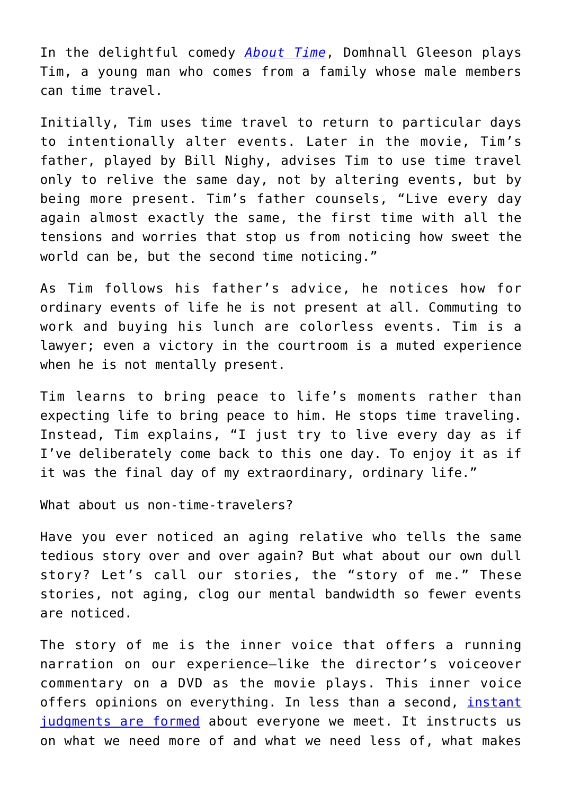In the delightful comedy *[About Time](https://www.amazon.com/About-Time-Domnhall-Gleeson/dp/B00HYI8A08/)*, Domhnall Gleeson plays Tim, a young man who comes from a family whose male members can time travel.

Initially, Tim uses time travel to return to particular days to intentionally alter events. Later in the movie, Tim's father, played by Bill Nighy, advises Tim to use time travel only to relive the same day, not by altering events, but by being more present. Tim's father counsels, "Live every day again almost exactly the same, the first time with all the tensions and worries that stop us from noticing how sweet the world can be, but the second time noticing."

As Tim follows his father's advice, he notices how for ordinary events of life he is not present at all. Commuting to work and buying his lunch are colorless events. Tim is a lawyer; even a victory in the courtroom is a muted experience when he is not mentally present.

Tim learns to bring peace to life's moments rather than expecting life to bring peace to him. He stops time traveling. Instead, Tim explains, "I just try to live every day as if I've deliberately come back to this one day. To enjoy it as if it was the final day of my extraordinary, ordinary life."

What about us non-time-travelers?

Have you ever noticed an aging relative who tells the same tedious story over and over again? But what about our own dull story? Let's call our stories, the "story of me." These stories, not aging, clog our mental bandwidth so fewer events are noticed.

The story of me is the inner voice that offers a running narration on our experience—like the director's voiceover commentary on a DVD as the movie plays. This inner voice offers opinions on everything. In less than a second, [instant](https://www.psychologicalscience.org/observer/how-many-seconds-to-a-first-impression) [judgments are formed](https://www.psychologicalscience.org/observer/how-many-seconds-to-a-first-impression) about everyone we meet. It instructs us on what we need more of and what we need less of, what makes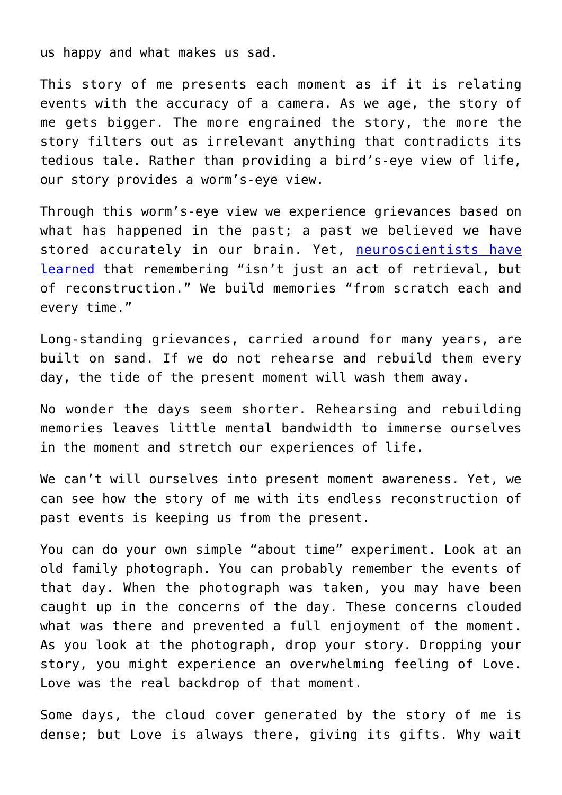us happy and what makes us sad.

This story of me presents each moment as if it is relating events with the accuracy of a camera. As we age, the story of me gets bigger. The more engrained the story, the more the story filters out as irrelevant anything that contradicts its tedious tale. Rather than providing a bird's-eye view of life, our story provides a worm's-eye view.

Through this worm's-eye view we experience grievances based on what has happened in the past; a past we believed we have stored accurately in our brain. Yet, [neuroscientists have](http://www.theatlantic.com/science/archive/2016/10/memory-lane-has-a-three-way-fork/505250/) [learned](http://www.theatlantic.com/science/archive/2016/10/memory-lane-has-a-three-way-fork/505250/) that remembering "isn't just an act of retrieval, but of reconstruction." We build memories "from scratch each and every time."

Long-standing grievances, carried around for many years, are built on sand. If we do not rehearse and rebuild them every day, the tide of the present moment will wash them away.

No wonder the days seem shorter. Rehearsing and rebuilding memories leaves little mental bandwidth to immerse ourselves in the moment and stretch our experiences of life.

We can't will ourselves into present moment awareness. Yet, we can see how the story of me with its endless reconstruction of past events is keeping us from the present.

You can do your own simple "about time" experiment. Look at an old family photograph. You can probably remember the events of that day. When the photograph was taken, you may have been caught up in the concerns of the day. These concerns clouded what was there and prevented a full enjoyment of the moment. As you look at the photograph, drop your story. Dropping your story, you might experience an overwhelming feeling of Love. Love was the real backdrop of that moment.

Some days, the cloud cover generated by the story of me is dense; but Love is always there, giving its gifts. Why wait